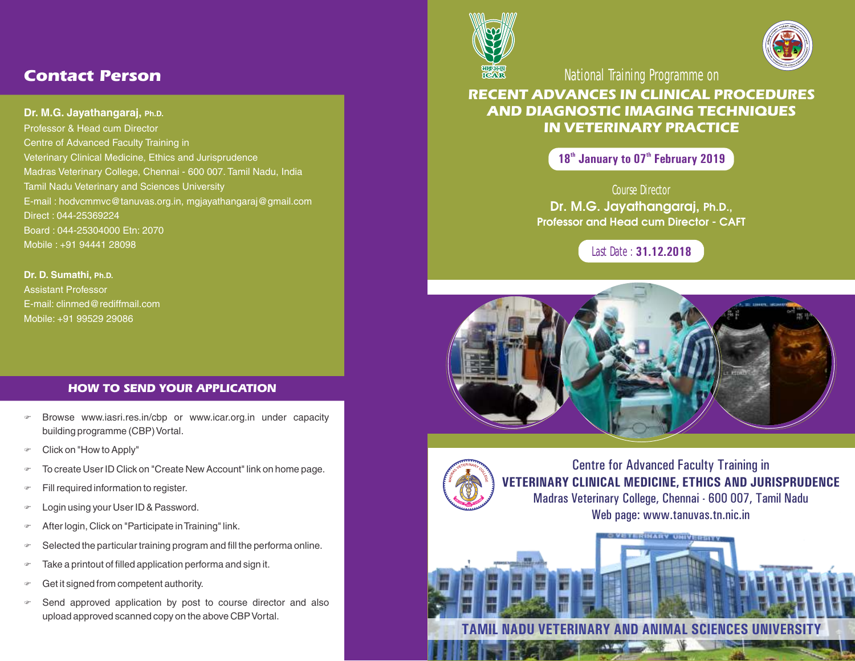# *Contact Person*

## **Dr. M.G. Jayathangaraj, Ph.D.**

Professor & Head cum Director Centre of Advanced Faculty Training in Veterinary Clinical Medicine, Ethics and Jurisprudence Madras Veterinary College, Chennai - 600 007. Tamil Nadu, India Tamil Nadu Veterinary and Sciences University E-mail : hodvcmmvc@tanuvas.org.in, mgjayathangaraj@gmail.com Direct : 044-25369224 Board : 044-25304000 Etn: 2070 Mobile : +91 94441 28098

**Dr. D. Sumathi, Ph.D.** Assistant Professor E-mail: clinmed@rediffmail.com Mobile: +91 99529 29086

## *HOW TO SEND YOUR APPLICATION*

- F Browse www.iasri.res.in/cbp or www.icar.org.in under capacity building programme (CBP) Vortal.
- $\in$  Click on "How to Apply"
- To create User ID Click on "Create New Account" link on home page.
- Fill required information to register.
- F Login using your User ID & Password.
- After login, Click on "Participate in Training" link.
- $\infty$  Selected the particular training program and fill the performa online.
- $\sigma$  Take a printout of filled application performa and sign it.
- Get it signed from competent authority.
- Send approved application by post to course director and also upload approved scanned copy on the above CBP Vortal.





National Training Programme on

## **RECENT ADVANCES IN CLINICAL PROCEDURES AND DIAGNOSTIC IMAGING TECHNIQUES IN VETERINARY PRACTICE**

18<sup>th</sup> January to 07<sup>th</sup> February 2019

Course Director Dr. M.G. Jayathangaraj, Ph.D., Professor and Head cum Director - CAFT

Last Date : **31.12.2018**



**TAMIL NADU VETERINARY AND ANIMAL SCIENCES UNIVERSITY**



Centre for Advanced Faculty Training in **VETERINARY CLINICAL MEDICINE, ETHICS AND JURISPRUDENCE** Madras Veterinary College, Chennai - 600 007, Tamil Nadu Web page: www.tanuvas.tn.nic.in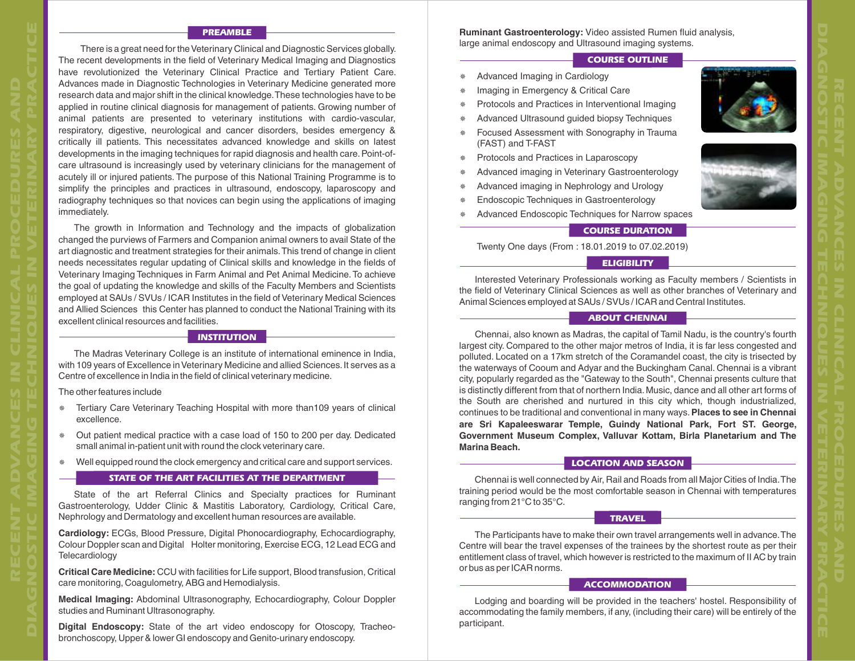#### *PREAMBLE*

 There is a great need for the Veterinary Clinical and Diagnostic Services globally. The recent developments in the field of Veterinary Medical Imaging and Diagnostics have revolutionized the Veterinary Clinical Practice and Tertiary Patient Care. Advances made in Diagnostic Technologies in Veterinary Medicine generated more research data and major shift in the clinical knowledge.These technologies have to be applied in routine clinical diagnosis for management of patients. Growing number of animal patients are presented to veterinary institutions with cardio-vascular, respiratory, digestive, neurological and cancer disorders, besides emergency & critically ill patients. This necessitates advanced knowledge and skills on latest developments in the imaging techniques for rapid diagnosis and health care.Point-ofcare ultrasound is increasingly used by veterinary clinicians for the management of acutely ill or injured patients. The purpose of this National Training Programme is to simplify the principles and practices in ultrasound, endoscopy, laparoscopy and radiography techniques so that novices can begin using the applications of imaging immediately.

The growth in Information and Technology and the impacts of globalization changed the purviews of Farmers and Companion animal owners to avail State of the art diagnostic and treatment strategies for their animals.This trend of change in client needs necessitates regular updating of Clinical skills and knowledge in the fields of Veterinary Imaging Techniques in Farm Animal and Pet Animal Medicine.To achieve the goal of updating the knowledge and skills of the Faculty Members and Scientists employed at SAUs / SVUs / ICAR Institutes in the field of Veterinary Medical Sciences and Allied Sciences this Center has planned to conduct the National Training with its excellent clinical resources and facilities.

#### *INSTITUTION*

The Madras Veterinary College is an institute of international eminence in India, with 109 years of Excellence in Veterinary Medicine and allied Sciences.It serves as a Centre of excellence in India in the field of clinical veterinary medicine.

The other features include

**DIAGNOSTIC IMAGING TECHNIQUES IN VETERINARY PRACTICE**

- \* Tertiary Care Veterinary Teaching Hospital with more than109 years of clinical excellence.
- ¯ Out patient medical practice with a case load of 150 to 200 per day. Dedicated small animal in-patient unit with round the clock veterinary care.
- ¯ Well equipped round the clock emergency and critical care and support services.

#### *STATE OF THE ART FACILITIES AT THE DEPARTMENT*

State of the art Referral Clinics and Specialty practices for Ruminant Gastroenterology, Udder Clinic & Mastitis Laboratory, Cardiology, Critical Care, Nephrology and Dermatology and excellent human resources are available.

**Cardiology:** ECGs, Blood Pressure, Digital Phonocardiography, Echocardiography, Colour Doppler scan and Digital Holter monitoring, Exercise ECG, 12 Lead ECG and **Telecardiology** 

**Critical Care Medicine:** CCU with facilities for Life support, Blood transfusion, Critical care monitoring, Coagulometry, ABG and Hemodialysis.

**Medical Imaging:** Abdominal Ultrasonography, Echocardiography, Colour Doppler studies and Ruminant Ultrasonography.

**Digital Endoscopy:** State of the art video endoscopy for Otoscopy, Tracheobronchoscopy, Upper & lower GI endoscopy and Genito-urinary endoscopy.

**Ruminant Gastroenterology:** Video assisted Rumen fluid analysis, large animal endoscopy and Ultrasound imaging systems.

### *COURSE OUTLINE*

- ¯ Advanced Imaging in Cardiology
- Imaging in Emergency & Critical Care
- ¯ Protocols and Practices in Interventional Imaging
- ¯ Advanced Ultrasound guided biopsy Techniques
- ¯ Focused Assessment with Sonography in Trauma (FAST) and T-FAST
- ¯ Protocols and Practices in Laparoscopy
- ¯ Advanced imaging in Veterinary Gastroenterology
- ¯ Advanced imaging in Nephrology and Urology
- Endoscopic Techniques in Gastroenterology
- Advanced Endoscopic Techniques for Narrow spaces

#### *COURSE DURATION*

Twenty One days (From : 18.01.2019 to 07.02.2019)

### *ELIGIBILITY*

Interested Veterinary Professionals working as Faculty members / Scientists in the field of Veterinary Clinical Sciences as well as other branches of Veterinary and Animal Sciences employed at SAUs / SVUs / ICAR and Central Institutes.

## *ABOUT CHENNAI*

Chennai, also known as Madras, the capital of Tamil Nadu, is the country's fourth largest city. Compared to the other major metros of India, it is far less congested and polluted. Located on a 17km stretch of the Coramandel coast, the city is trisected by the waterways of Cooum and Adyar and the Buckingham Canal. Chennai is a vibrant city, popularly regarded as the "Gateway to the South", Chennai presents culture that is distinctly different from that of northern India. Music, dance and all other art forms of the South are cherished and nurtured in this city which, though industrialized, continues to be traditional and conventional in many ways.**Places to see in Chennai are Sri Kapaleeswarar Temple, Guindy National Park, Fort ST. George, Government Museum Complex, Valluvar Kottam, Birla Planetarium and The Marina Beach.**

#### *LOCATION AND SEASON*

Chennai is well connected by Air, Rail and Roads from all Major Cities of India.The training period would be the most comfortable season in Chennai with temperatures ranging from 21°C to 35°C.

#### *TRAVEL*

The Participants have to make their own travel arrangements well in advance.The Centre will bear the travel expenses of the trainees by the shortest route as per their entitlement class of travel, which however is restricted to the maximum of II AC by train or bus as per ICAR norms.

#### *ACCOMMODATION*

Lodging and boarding will be provided in the teachers' hostel. Responsibility of accommodating the family members, if any, (including their care) will be entirely of the participant.